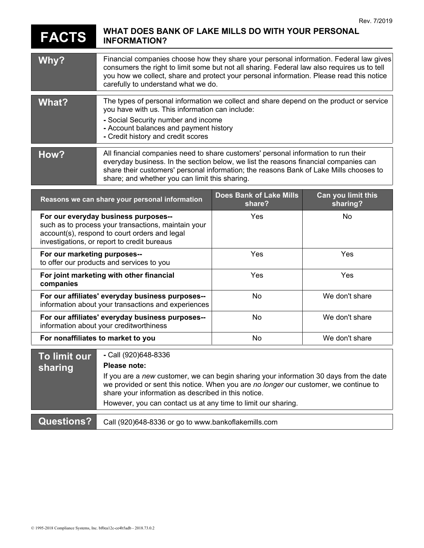## **FACTS WHAT DOES BANK OF LAKE MILLS DO WITH YOUR PERSONAL INFORMATION?**

| Why?  | Financial companies choose how they share your personal information. Federal law gives<br>consumers the right to limit some but not all sharing. Federal law also requires us to tell<br>you how we collect, share and protect your personal information. Please read this notice<br>carefully to understand what we do. |
|-------|--------------------------------------------------------------------------------------------------------------------------------------------------------------------------------------------------------------------------------------------------------------------------------------------------------------------------|
| What? | The types of personal information we collect and share depend on the product or service<br>you have with us. This information can include:<br>- Social Security number and income<br>- Account balances and payment history<br>- Credit history and credit scores                                                        |
| How?  | All financial companies need to share customers' personal information to run their<br>everyday business. In the section below, we list the reasons financial companies can<br>share their customers' personal information; the reasons Bank of Lake Mills chooses to<br>share; and whether you can limit this sharing.   |

| Reasons we can share your personal information                                                                                                                                              | <b>Does Bank of Lake Mills</b><br>share? | Can you limit this<br>sharing? |
|---------------------------------------------------------------------------------------------------------------------------------------------------------------------------------------------|------------------------------------------|--------------------------------|
| For our everyday business purposes--<br>such as to process your transactions, maintain your<br>account(s), respond to court orders and legal<br>investigations, or report to credit bureaus | Yes                                      | No.                            |
| For our marketing purposes--<br>to offer our products and services to you                                                                                                                   | Yes                                      | Yes                            |
| For joint marketing with other financial<br>companies                                                                                                                                       | Yes                                      | Yes                            |
| For our affiliates' everyday business purposes--<br>information about your transactions and experiences                                                                                     | No.                                      | We don't share                 |
| For our affiliates' everyday business purposes--<br>information about your creditworthiness                                                                                                 | No                                       | We don't share                 |
| For nonaffiliates to market to you                                                                                                                                                          | No                                       | We don't share                 |

| To limit our<br>sharing | - Call (920)648-8336<br>Please note:<br>If you are a new customer, we can begin sharing your information 30 days from the date<br>we provided or sent this notice. When you are no longer our customer, we continue to<br>share your information as described in this notice.<br>However, you can contact us at any time to limit our sharing. |
|-------------------------|------------------------------------------------------------------------------------------------------------------------------------------------------------------------------------------------------------------------------------------------------------------------------------------------------------------------------------------------|
|                         |                                                                                                                                                                                                                                                                                                                                                |
| <b>Questions?</b>       | Call (920)648-8336 or go to www.bankoflakemills.com                                                                                                                                                                                                                                                                                            |